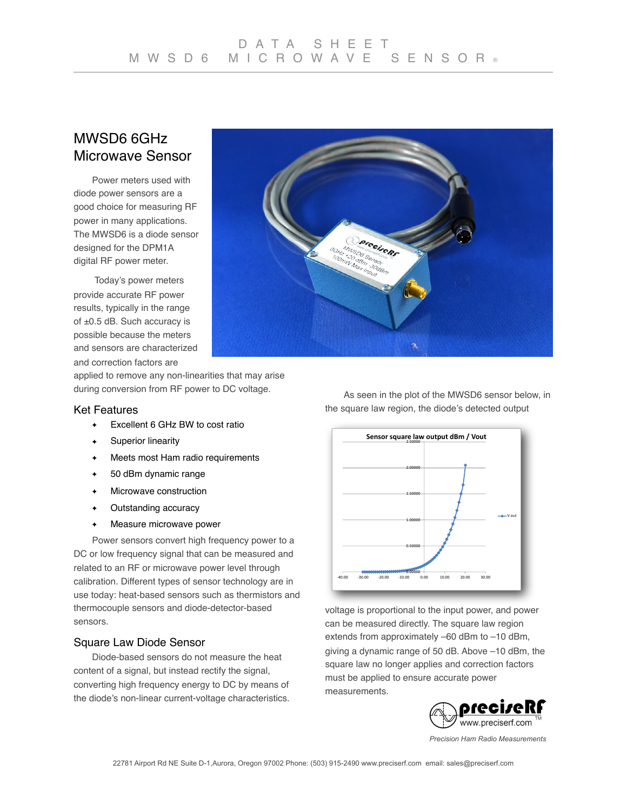# MWSD6 6GHz Microwave Sensor

Power meters used with diode power sensors are a good choice for measuring RF power in many applications. The MWSD6 is a diode sensor designed for the DPM1A digital RF power meter.

 Today's power meters provide accurate RF power results, typically in the range of ±0.5 dB. Such accuracy is possible because the meters and sensors are characterized and correction factors are

applied to remove any non-linearities that may arise during conversion from RF power to DC voltage.

## Ket Features

- ✦ Excellent 6 GHz BW to cost ratio
- ✦ Superior linearity
- ✦ Meets most Ham radio requirements
- ✦ 50 dBm dynamic range
- ✦ Microwave construction
- ✦ Outstanding accuracy
- ✦ Measure microwave power

Power sensors convert high frequency power to a DC or low frequency signal that can be measured and related to an RF or microwave power level through calibration. Different types of sensor technology are in use today: heat-based sensors such as thermistors and thermocouple sensors and diode-detector-based sensors.

## Square Law Diode Sensor

Diode-based sensors do not measure the heat content of a signal, but instead rectify the signal, converting high frequency energy to DC by means of the diode's non-linear current-voltage characteristics.

As seen in the plot of the MWSD6 sensor below, in the square law region, the diode's detected output

**PreciseRs** 

 $300B$ 



voltage is proportional to the input power, and power can be measured directly. The square law region extends from approximately –60 dBm to –10 dBm, giving a dynamic range of 50 dB. Above –10 dBm, the square law no longer applies and correction factors must be applied to ensure accurate power measurements.



*Precision Ham Radio Measurements*